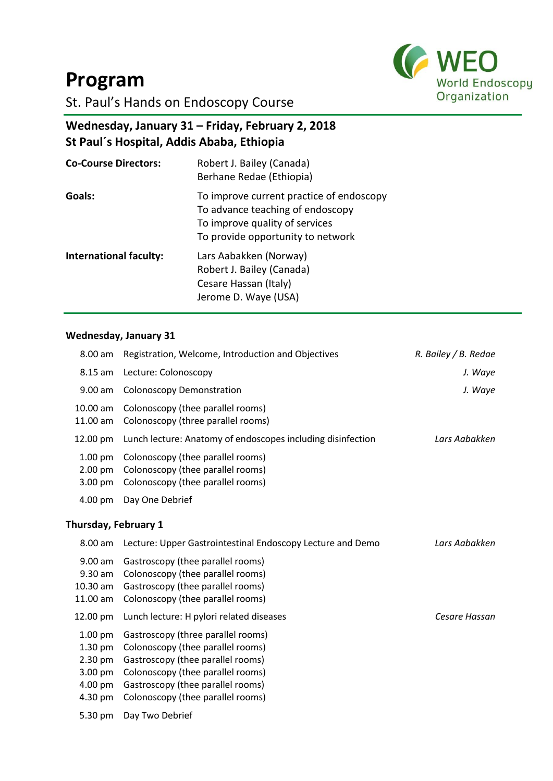

## **Program**

St. Paul's Hands on Endoscopy Course

## **Wednesday, January 31 – Friday, February 2, 2018 St Paul´s Hospital, Addis Ababa, Ethiopia**

| <b>Co-Course Directors:</b> | Robert J. Bailey (Canada)<br>Berhane Redae (Ethiopia)                                                                                               |
|-----------------------------|-----------------------------------------------------------------------------------------------------------------------------------------------------|
| Goals:                      | To improve current practice of endoscopy<br>To advance teaching of endoscopy<br>To improve quality of services<br>To provide opportunity to network |
| International faculty:      | Lars Aabakken (Norway)<br>Robert J. Bailey (Canada)<br>Cesare Hassan (Italy)<br>Jerome D. Waye (USA)                                                |

## **Wednesday, January 31**

| 8.00 am                                                                               | Registration, Welcome, Introduction and Objectives                                                                                                                                                                          | R. Bailey / B. Redae |
|---------------------------------------------------------------------------------------|-----------------------------------------------------------------------------------------------------------------------------------------------------------------------------------------------------------------------------|----------------------|
| 8.15 am                                                                               | Lecture: Colonoscopy                                                                                                                                                                                                        | J. Waye              |
| $9.00$ am                                                                             | <b>Colonoscopy Demonstration</b>                                                                                                                                                                                            | J. Waye              |
| 10.00 am<br>$11.00$ am                                                                | Colonoscopy (thee parallel rooms)<br>Colonoscopy (three parallel rooms)                                                                                                                                                     |                      |
| 12.00 pm                                                                              | Lunch lecture: Anatomy of endoscopes including disinfection                                                                                                                                                                 | Lars Aabakken        |
| 1.00 pm<br>2.00 pm<br>3.00 pm                                                         | Colonoscopy (thee parallel rooms)<br>Colonoscopy (thee parallel rooms)<br>Colonoscopy (thee parallel rooms)                                                                                                                 |                      |
| 4.00 pm                                                                               | Day One Debrief                                                                                                                                                                                                             |                      |
| Thursday, February 1                                                                  |                                                                                                                                                                                                                             |                      |
| $8.00$ am                                                                             | Lecture: Upper Gastrointestinal Endoscopy Lecture and Demo                                                                                                                                                                  | Lars Aabakken        |
| 9.00 am<br>9.30 am<br>10.30 am<br>11.00 am                                            | Gastroscopy (thee parallel rooms)<br>Colonoscopy (thee parallel rooms)<br>Gastroscopy (thee parallel rooms)<br>Colonoscopy (thee parallel rooms)                                                                            |                      |
| 12.00 pm                                                                              | Lunch lecture: H pylori related diseases                                                                                                                                                                                    | Cesare Hassan        |
| 1.00 <sub>pm</sub><br>$1.30$ pm<br>$2.30 \text{ pm}$<br>3.00 pm<br>4.00 pm<br>4.30 pm | Gastroscopy (three parallel rooms)<br>Colonoscopy (thee parallel rooms)<br>Gastroscopy (thee parallel rooms)<br>Colonoscopy (thee parallel rooms)<br>Gastroscopy (thee parallel rooms)<br>Colonoscopy (thee parallel rooms) |                      |
| 5.30 pm                                                                               | Day Two Debrief                                                                                                                                                                                                             |                      |